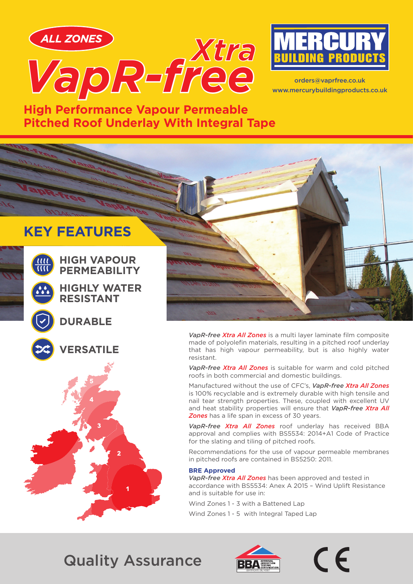



orders@vaprfree.co.uk www.mercurybuildingproducts.co.uk

**High Performance Vapour Permeable Pitched Roof Underlay With Integral Tape**

# **KEY FEATURES**



**HIGH VAPOUR PERMEABILITY**

**HIGHLY WATER RESISTANT**

### **DURABLE**



**ERSATILE** 





*VapR-free Xtra All Zones* is a multi layer laminate film composite made of polyolefin materials, resulting in a pitched roof underlay that has high vapour permeability, but is also highly water resistant.

*VapR-free Xtra All Zones* is suitable for warm and cold pitched roofs in both commercial and domestic buildings.

Manufactured without the use of CFC's, *VapR-free Xtra All Zones*  is 100% recyclable and is extremely durable with high tensile and nail tear strength properties. These, coupled with excellent UV and heat stability properties will ensure that *VapR-free Xtra All Zones* has a life span in excess of 30 years.

*VapR-free Xtra All Zones* roof underlay has received BBA approval and complies with BS5534: 2014+A1 Code of Practice for the slating and tiling of pitched roofs.

Recommendations for the use of vapour permeable membranes in pitched roofs are contained in BS5250: 2011.

#### **BRE Approved**

*VapR-free Xtra All Zones* has been approved and tested in accordance with BS5534: Anex A 2015 – Wind Uplift Resistance and is suitable for use in:

Wind Zones 1 - 3 with a Battened Lap

Wind Zones 1 - 5 with Integral Taped Lap

# Quality Assurance